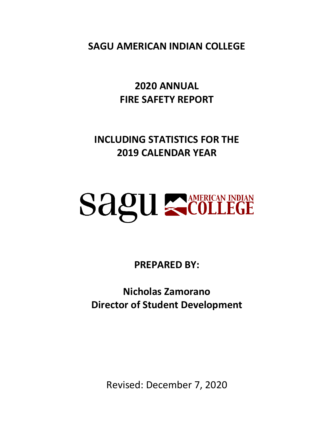**SAGU AMERICAN INDIAN COLLEGE**

**2020 ANNUAL FIRE SAFETY REPORT**

**INCLUDING STATISTICS FOR THE 2019 CALENDAR YEAR**

# **SAGU SCOLLEGE**

**PREPARED BY:**

**Nicholas Zamorano Director of Student Development**

Revised: December 7, 2020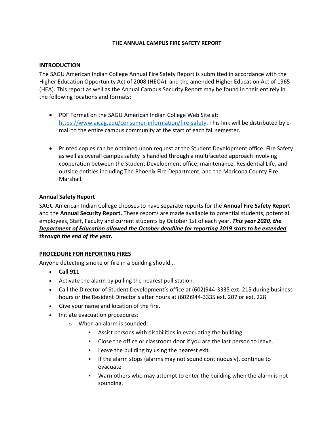#### **THE ANNUAL CAMPUS FIRE SAFETY REPORT**

#### **INTRODUCTION**

The SAGU American Indian College Annual Fire Safety Report is submitted in accordance with the Higher Education Opportunity Act of 2008 (HEOA), and the amended Higher Education Act of 1965 (HEA). This report as well as the Annual Campus Security Report may be found in their entirely in the following locations and formats:

- PDF Format on the SAGU American Indian College Web Site at: [https://www.aicag.edu/consumer-information/fire-safety.](https://www.aicag.edu/consumer-information/fire-safety) This link will be distributed by email to the entire campus community at the start of each fall semester.
- Printed copies can be obtained upon request at the Student Development office. Fire Safety as well as overall campus safety is handled through a multifaceted approach involving cooperation between the Student Development office, maintenance, Residential Life, and outside entities including The Phoenix Fire Department, and the Maricopa County Fire Marshall.

#### **Annual Safety Report**

SAGU American Indian College chooses to have separate reports for the **Annual Fire Safety Report**  and the **Annual Security Report.** These reports are made available to potential students, potential employees, Staff, Faculty and current students by October 1st of each year. *This year 2020, the Department of Education allowed the October deadline for reporting 2019 stats to be extended through the end of the year.*

## **PROCEDURE FOR REPORTING FIRES**

Anyone detecting smoke or fire in a building should...

- **Call 911**
- Activate the alarm by pulling the nearest pull station.
- Call the Director of Student Development's office at (602)944-3335 ext. 215 during business hours or the Resident Director's after hours at (602)944-3335 ext. 207 or ext. 228
- Give your name and location of the fire.
- Initiate evacuation procedures:
	- o When an alarm is sounded:
		- Assist persons with disabilities in evacuating the building.
		- Close the office or classroom door if you are the last person to leave.
		- Leave the building by using the nearest exit.
		- If the alarm stops (alarms may not sound continuously), continue to evacuate.
		- Warn others who may attempt to enter the building when the alarm is not sounding.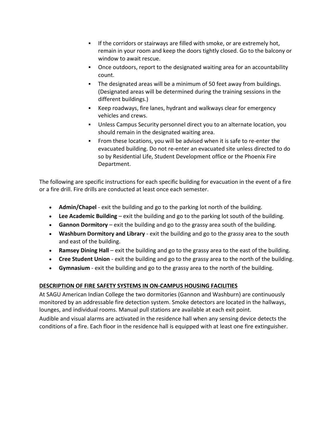- **.** If the corridors or stairways are filled with smoke, or are extremely hot, remain in your room and keep the doors tightly closed. Go to the balcony or window to await rescue.
- Once outdoors, report to the designated waiting area for an accountability count.
- **•** The designated areas will be a minimum of 50 feet away from buildings. (Designated areas will be determined during the training sessions in the different buildings.)
- Keep roadways, fire lanes, hydrant and walkways clear for emergency vehicles and crews.
- Unless Campus Security personnel direct you to an alternate location, you should remain in the designated waiting area.
- From these locations, you will be advised when it is safe to re-enter the evacuated building. Do not re-enter an evacuated site unless directed to do so by Residential Life, Student Development office or the Phoenix Fire Department.

The following are specific instructions for each specific building for evacuation in the event of a fire or a fire drill. Fire drills are conducted at least once each semester.

- **Admin/Chapel** exit the building and go to the parking lot north of the building.
- **Lee Academic Building** exit the building and go to the parking lot south of the building.
- **Gannon Dormitory** exit the building and go to the grassy area south of the building.
- **Washburn Dormitory and Library** exit the building and go to the grassy area to the south and east of the building.
- **Ramsey Dining Hall** exit the building and go to the grassy area to the east of the building.
- **Cree Student Union** exit the building and go to the grassy area to the north of the building.
- **Gymnasium** exit the building and go to the grassy area to the north of the building.

# **DESCRIPTION OF FIRE SAFETY SYSTEMS IN ON-CAMPUS HOUSING FACILITIES**

At SAGU American Indian College the two dormitories (Gannon and Washburn) are continuously monitored by an addressable fire detection system. Smoke detectors are located in the hallways, lounges, and individual rooms. Manual pull stations are available at each exit point.

Audible and visual alarms are activated in the residence hall when any sensing device detects the conditions of a fire. Each floor in the residence hall is equipped with at least one fire extinguisher.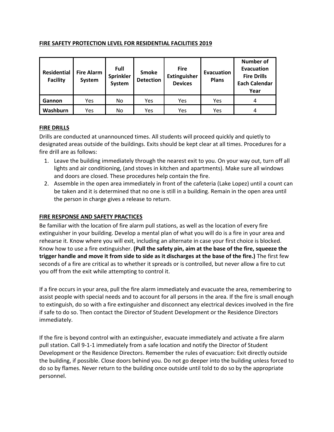## **FIRE SAFETY PROTECTION LEVEL FOR RESIDENTIAL FACILITIES 2019**

| <b>Residential</b><br><b>Facility</b> | <b>Fire Alarm</b><br>System | Full<br><b>Sprinkler</b><br>System | <b>Smoke</b><br><b>Detection</b> | <b>Fire</b><br><b>Extinguisher</b><br><b>Devices</b> | Evacuation<br><b>Plans</b> | <b>Number of</b><br><b>Evacuation</b><br><b>Fire Drills</b><br><b>Each Calendar</b><br>Year |  |
|---------------------------------------|-----------------------------|------------------------------------|----------------------------------|------------------------------------------------------|----------------------------|---------------------------------------------------------------------------------------------|--|
| Gannon                                | Yes                         | No                                 | Yes                              | Yes                                                  | Yes                        | 4                                                                                           |  |
| Washburn                              | Yes                         | No                                 | Yes                              | Yes                                                  | Yes                        | 4                                                                                           |  |

# **FIRE DRILLS**

Drills are conducted at unannounced times. All students will proceed quickly and quietly to designated areas outside of the buildings. Exits should be kept clear at all times. Procedures for a fire drill are as follows:

- 1. Leave the building immediately through the nearest exit to you. On your way out, turn off all lights and air conditioning, (and stoves in kitchen and apartments). Make sure all windows and doors are closed. These procedures help contain the fire.
- 2. Assemble in the open area immediately in front of the cafeteria (Lake Lopez) until a count can be taken and it is determined that no one is still in a building. Remain in the open area until the person in charge gives a release to return.

## **FIRE RESPONSE AND SAFETY PRACTICES**

Be familiar with the location of fire alarm pull stations, as well as the location of every fire extinguisher in your building. Develop a mental plan of what you will do is a fire in your area and rehearse it. Know where you will exit, including an alternate in case your first choice is blocked. Know how to use a fire extinguisher. **(Pull the safety pin, aim at the base of the fire, squeeze the trigger handle and move it from side to side as it discharges at the base of the fire.)** The first few seconds of a fire are critical as to whether it spreads or is controlled, but never allow a fire to cut you off from the exit while attempting to control it.

If a fire occurs in your area, pull the fire alarm immediately and evacuate the area, remembering to assist people with special needs and to account for all persons in the area. If the fire is small enough to extinguish, do so with a fire extinguisher and disconnect any electrical devices involved in the fire if safe to do so. Then contact the Director of Student Development or the Residence Directors immediately.

If the fire is beyond control with an extinguisher, evacuate immediately and activate a fire alarm pull station. Call 9-1-1 immediately from a safe location and notify the Director of Student Development or the Residence Directors. Remember the rules of evacuation: Exit directly outside the building, if possible. Close doors behind you. Do not go deeper into the building unless forced to do so by flames. Never return to the building once outside until told to do so by the appropriate personnel.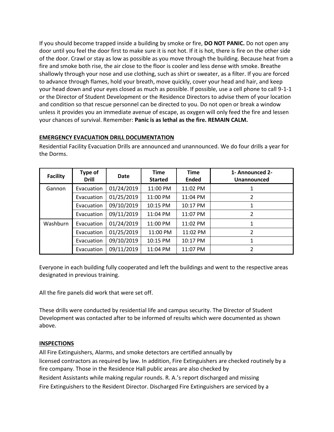If you should become trapped inside a building by smoke or fire, **DO NOT PANIC.** Do not open any door until you feel the door first to make sure it is not hot. If it is hot, there is fire on the other side of the door. Crawl or stay as low as possible as you move through the building. Because heat from a fire and smoke both rise, the air close to the floor is cooler and less dense with smoke. Breathe shallowly through your nose and use clothing, such as shirt or sweater, as a filter. If you are forced to advance through flames, hold your breath, move quickly, cover your head and hair, and keep your head down and your eyes closed as much as possible. If possible, use a cell phone to call 9-1-1 or the Director of Student Development or the Residence Directors to advise them of your location and condition so that rescue personnel can be directed to you. Do not open or break a window unless it provides you an immediate avenue of escape, as oxygen will only feed the fire and lessen your chances of survival. Remember: **Panic is as lethal as the fire. REMAIN CALM.**

# **EMERGENCY EVACUATION DRILL DOCUMENTATION**

| <b>Facility</b> | Type of<br><b>Drill</b> | Date       | <b>Time</b><br><b>Started</b> | <b>Time</b><br><b>Ended</b> | 1- Announced 2-<br>Unannounced |
|-----------------|-------------------------|------------|-------------------------------|-----------------------------|--------------------------------|
| Gannon          | Evacuation              | 01/24/2019 | 11:00 PM                      | 11:02 PM                    |                                |
|                 | Evacuation              | 01/25/2019 | 11:00 PM                      | 11:04 PM                    | $\overline{2}$                 |
|                 | Evacuation              | 09/10/2019 | 10:15 PM                      | 10:17 PM                    | 1                              |
|                 | Evacuation              | 09/11/2019 | 11:04 PM                      | 11:07 PM                    | 2                              |
| Washburn        | Evacuation              | 01/24/2019 | 11:00 PM                      | 11:02 PM                    | 1                              |
|                 | Evacuation              | 01/25/2019 | 11:00 PM                      | 11:02 PM                    | $\overline{2}$                 |
|                 | Evacuation              | 09/10/2019 | 10:15 PM                      | 10:17 PM                    | 1                              |
|                 | Evacuation              | 09/11/2019 | 11:04 PM                      | 11:07 PM                    | $\mathfrak z$                  |

Residential Facility Evacuation Drills are announced and unannounced. We do four drills a year for the Dorms.

Everyone in each building fully cooperated and left the buildings and went to the respective areas designated in previous training.

All the fire panels did work that were set off.

These drills were conducted by residential life and campus security. The Director of Student Development was contacted after to be informed of results which were documented as shown above.

# **INSPECTIONS**

All Fire Extinguishers, Alarms, and smoke detectors are certified annually by licensed contractors as required by law. In addition, Fire Extinguishers are checked routinely by a fire company. Those in the Residence Hall public areas are also checked by Resident Assistants while making regular rounds. R. A.'s report discharged and missing Fire Extinguishers to the Resident Director. Discharged Fire Extinguishers are serviced by a